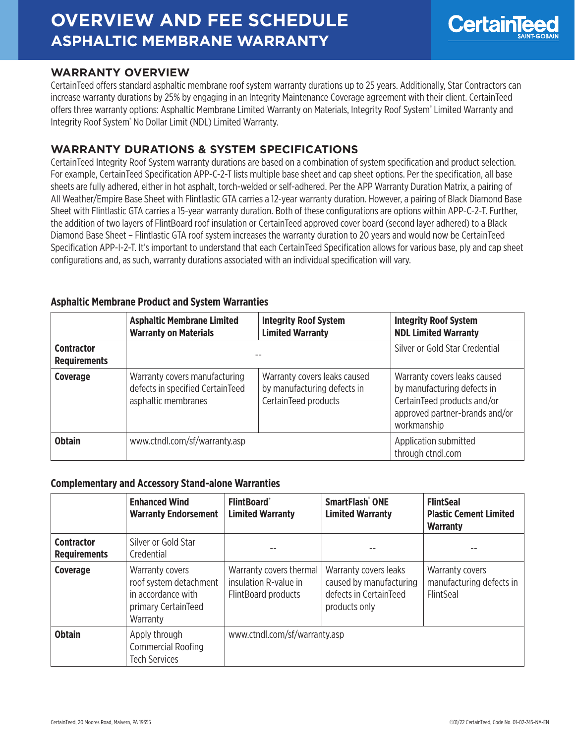# **OVERVIEW AND FEE SCHEDULE ASPHALTIC MEMBRANE WARRANTY**



## **WARRANTY OVERVIEW**

CertainTeed offers standard asphaltic membrane roof system warranty durations up to 25 years. Additionally, Star Contractors can increase warranty durations by 25% by engaging in an Integrity Maintenance Coverage agreement with their client. CertainTeed offers three warranty options: Asphaltic Membrane Limited Warranty on Materials, Integrity Roof System® Limited Warranty and Integrity Roof System<sup>®</sup> No Dollar Limit (NDL) Limited Warranty.

# **WARRANTY DURATIONS & SYSTEM SPECIFICATIONS**

CertainTeed Integrity Roof System warranty durations are based on a combination of system specification and product selection. For example, CertainTeed Specification APP-C-2-T lists multiple base sheet and cap sheet options. Per the specification, all base sheets are fully adhered, either in hot asphalt, torch-welded or self-adhered. Per the APP Warranty Duration Matrix, a pairing of All Weather/Empire Base Sheet with Flintlastic GTA carries a 12-year warranty duration. However, a pairing of Black Diamond Base Sheet with Flintlastic GTA carries a 15-year warranty duration. Both of these configurations are options within APP-C-2-T. Further, the addition of two layers of FlintBoard roof insulation or CertainTeed approved cover board (second layer adhered) to a Black Diamond Base Sheet – Flintlastic GTA roof system increases the warranty duration to 20 years and would now be CertainTeed Specification APP-I-2-T. It's important to understand that each CertainTeed Specification allows for various base, ply and cap sheet configurations and, as such, warranty durations associated with an individual specification will vary.

|                                          | <b>Asphaltic Membrane Limited</b><br><b>Warranty on Materials</b>                        | <b>Integrity Roof System</b><br><b>Limited Warranty</b>                             | <b>Integrity Roof System</b><br><b>NDL Limited Warranty</b>                                                                                 |
|------------------------------------------|------------------------------------------------------------------------------------------|-------------------------------------------------------------------------------------|---------------------------------------------------------------------------------------------------------------------------------------------|
| <b>Contractor</b><br><b>Requirements</b> |                                                                                          |                                                                                     | Silver or Gold Star Credential                                                                                                              |
| Coverage                                 | Warranty covers manufacturing<br>defects in specified CertainTeed<br>asphaltic membranes | Warranty covers leaks caused<br>by manufacturing defects in<br>CertainTeed products | Warranty covers leaks caused<br>by manufacturing defects in<br>CertainTeed products and/or<br>approved partner-brands and/or<br>workmanship |
| <b>Obtain</b>                            | www.ctndl.com/sf/warranty.asp                                                            |                                                                                     | Application submitted<br>through ctndl.com                                                                                                  |

#### **Asphaltic Membrane Product and System Warranties**

#### **Complementary and Accessory Stand-alone Warranties**

|                                          | <b>Enhanced Wind</b><br><b>Warranty Endorsement</b>                                                | <b>FlintBoard</b> ®<br><b>Limited Warranty</b>                          | SmartFlash <sup>®</sup> ONE<br><b>Limited Warranty</b>                                      | <b>FlintSeal</b><br><b>Plastic Cement Limited</b><br><b>Warranty</b> |
|------------------------------------------|----------------------------------------------------------------------------------------------------|-------------------------------------------------------------------------|---------------------------------------------------------------------------------------------|----------------------------------------------------------------------|
| <b>Contractor</b><br><b>Requirements</b> | Silver or Gold Star<br>Credential                                                                  |                                                                         |                                                                                             |                                                                      |
| <b>Coverage</b>                          | Warranty covers<br>roof system detachment<br>in accordance with<br>primary CertainTeed<br>Warranty | Warranty covers thermal<br>insulation R-value in<br>FlintBoard products | Warranty covers leaks<br>caused by manufacturing<br>defects in CertainTeed<br>products only | Warranty covers<br>manufacturing defects in<br><b>FlintSeal</b>      |
| <b>Obtain</b>                            | Apply through<br><b>Commercial Roofing</b><br><b>Tech Services</b>                                 | www.ctndl.com/sf/warranty.asp                                           |                                                                                             |                                                                      |